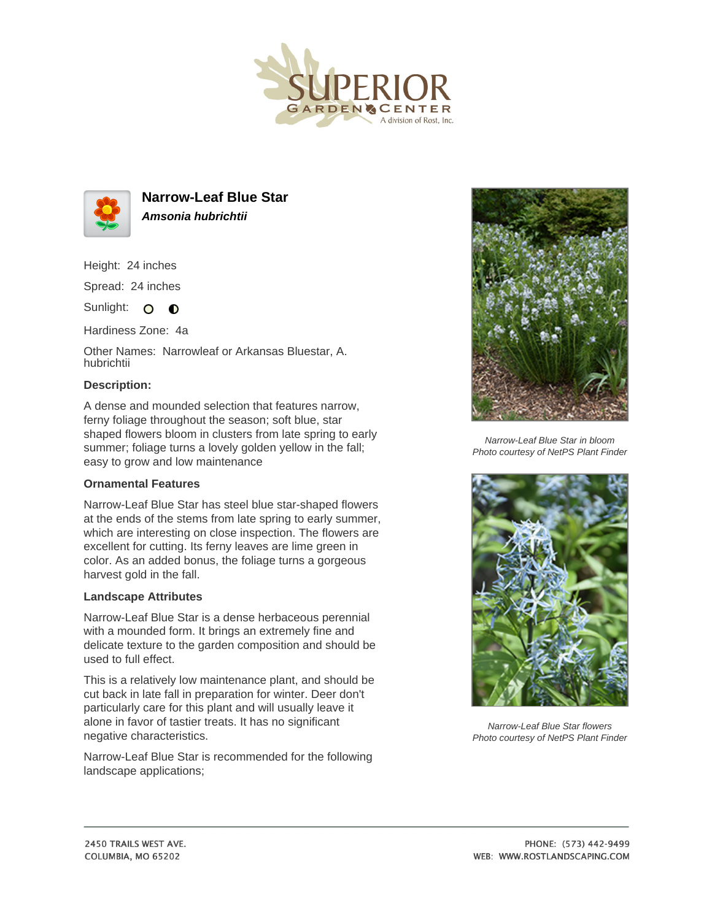



**Narrow-Leaf Blue Star Amsonia hubrichtii**

Height: 24 inches

Spread: 24 inches

Sunlight: O **O** 

Hardiness Zone: 4a

Other Names: Narrowleaf or Arkansas Bluestar, A. hubrichtii

## **Description:**

A dense and mounded selection that features narrow, ferny foliage throughout the season; soft blue, star shaped flowers bloom in clusters from late spring to early summer; foliage turns a lovely golden yellow in the fall; easy to grow and low maintenance

## **Ornamental Features**

Narrow-Leaf Blue Star has steel blue star-shaped flowers at the ends of the stems from late spring to early summer, which are interesting on close inspection. The flowers are excellent for cutting. Its ferny leaves are lime green in color. As an added bonus, the foliage turns a gorgeous harvest gold in the fall.

## **Landscape Attributes**

Narrow-Leaf Blue Star is a dense herbaceous perennial with a mounded form. It brings an extremely fine and delicate texture to the garden composition and should be used to full effect.

This is a relatively low maintenance plant, and should be cut back in late fall in preparation for winter. Deer don't particularly care for this plant and will usually leave it alone in favor of tastier treats. It has no significant negative characteristics.

Narrow-Leaf Blue Star is recommended for the following landscape applications;



Narrow-Leaf Blue Star in bloom Photo courtesy of NetPS Plant Finder



Narrow-Leaf Blue Star flowers Photo courtesy of NetPS Plant Finder